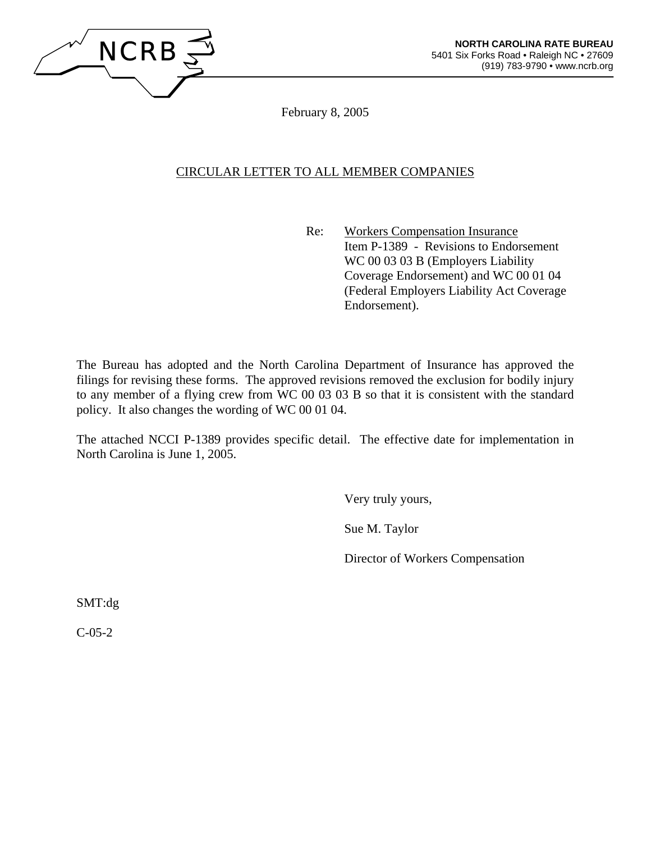

February 8, 2005

# CIRCULAR LETTER TO ALL MEMBER COMPANIES

 Re: Workers Compensation Insurance Item P-1389 - Revisions to Endorsement WC 00 03 03 B (Employers Liability Coverage Endorsement) and WC 00 01 04 (Federal Employers Liability Act Coverage Endorsement).

The Bureau has adopted and the North Carolina Department of Insurance has approved the filings for revising these forms. The approved revisions removed the exclusion for bodily injury to any member of a flying crew from WC 00 03 03 B so that it is consistent with the standard policy. It also changes the wording of WC 00 01 04.

The attached NCCI P-1389 provides specific detail. The effective date for implementation in North Carolina is June 1, 2005.

Very truly yours,

Sue M. Taylor

Director of Workers Compensation

SMT:dg

C-05-2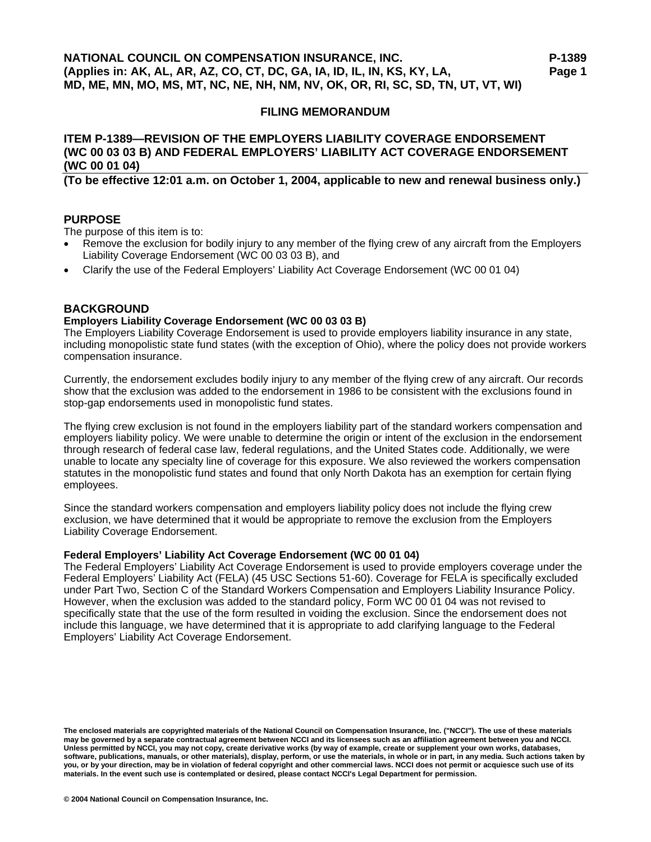# **ITEM P-1389—REVISION OF THE EMPLOYERS LIABILITY COVERAGE ENDORSEMENT (WC 00 03 03 B) AND FEDERAL EMPLOYERS' LIABILITY ACT COVERAGE ENDORSEMENT (WC 00 01 04)**

**(To be effective 12:01 a.m. on October 1, 2004, applicable to new and renewal business only.)** 

# **PURPOSE**

The purpose of this item is to:

- Remove the exclusion for bodily injury to any member of the flying crew of any aircraft from the Employers Liability Coverage Endorsement (WC 00 03 03 B), and
- Clarify the use of the Federal Employers' Liability Act Coverage Endorsement (WC 00 01 04)

#### **BACKGROUND**

#### **Employers Liability Coverage Endorsement (WC 00 03 03 B)**

The Employers Liability Coverage Endorsement is used to provide employers liability insurance in any state, including monopolistic state fund states (with the exception of Ohio), where the policy does not provide workers compensation insurance.

Currently, the endorsement excludes bodily injury to any member of the flying crew of any aircraft. Our records show that the exclusion was added to the endorsement in 1986 to be consistent with the exclusions found in stop-gap endorsements used in monopolistic fund states.

The flying crew exclusion is not found in the employers liability part of the standard workers compensation and employers liability policy. We were unable to determine the origin or intent of the exclusion in the endorsement through research of federal case law, federal regulations, and the United States code. Additionally, we were unable to locate any specialty line of coverage for this exposure. We also reviewed the workers compensation statutes in the monopolistic fund states and found that only North Dakota has an exemption for certain flying employees.

Since the standard workers compensation and employers liability policy does not include the flying crew exclusion, we have determined that it would be appropriate to remove the exclusion from the Employers Liability Coverage Endorsement.

#### **Federal Employers' Liability Act Coverage Endorsement (WC 00 01 04)**

The Federal Employers' Liability Act Coverage Endorsement is used to provide employers coverage under the Federal Employers' Liability Act (FELA) (45 USC Sections 51-60). Coverage for FELA is specifically excluded under Part Two, Section C of the Standard Workers Compensation and Employers Liability Insurance Policy. However, when the exclusion was added to the standard policy, Form WC 00 01 04 was not revised to specifically state that the use of the form resulted in voiding the exclusion. Since the endorsement does not include this language, we have determined that it is appropriate to add clarifying language to the Federal Employers' Liability Act Coverage Endorsement.

**The enclosed materials are copyrighted materials of the National Council on Compensation Insurance, Inc. ("NCCI"). The use of these materials may be governed by a separate contractual agreement between NCCI and its licensees such as an affiliation agreement between you and NCCI. Unless permitted by NCCI, you may not copy, create derivative works (by way of example, create or supplement your own works, databases, software, publications, manuals, or other materials), display, perform, or use the materials, in whole or in part, in any media. Such actions taken by you, or by your direction, may be in violation of federal copyright and other commercial laws. NCCI does not permit or acquiesce such use of its materials. In the event such use is contemplated or desired, please contact NCCI's Legal Department for permission.**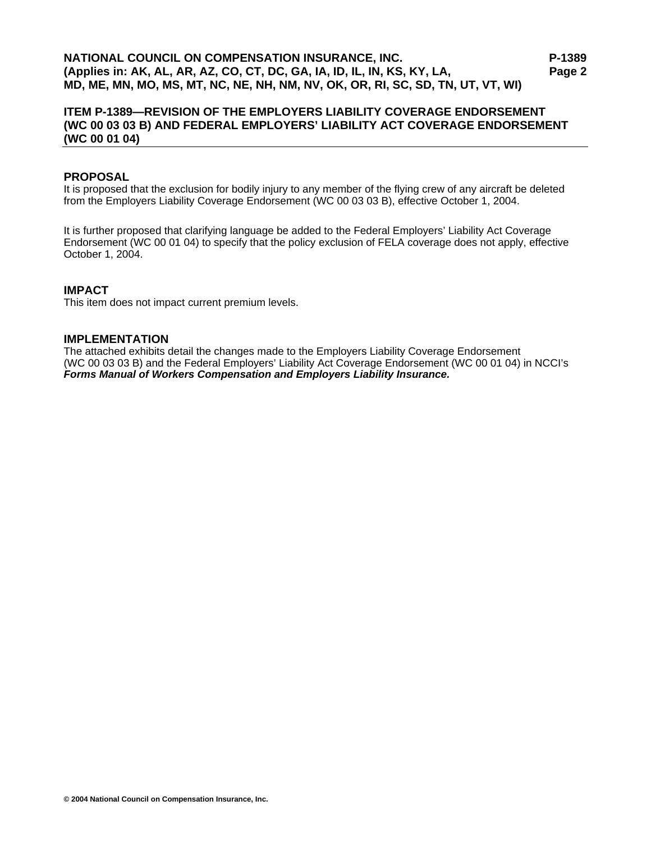# **ITEM P-1389—REVISION OF THE EMPLOYERS LIABILITY COVERAGE ENDORSEMENT (WC 00 03 03 B) AND FEDERAL EMPLOYERS' LIABILITY ACT COVERAGE ENDORSEMENT (WC 00 01 04)**

#### **PROPOSAL**

It is proposed that the exclusion for bodily injury to any member of the flying crew of any aircraft be deleted from the Employers Liability Coverage Endorsement (WC 00 03 03 B), effective October 1, 2004.

It is further proposed that clarifying language be added to the Federal Employers' Liability Act Coverage Endorsement (WC 00 01 04) to specify that the policy exclusion of FELA coverage does not apply, effective October 1, 2004.

#### **IMPACT**

This item does not impact current premium levels.

#### **IMPLEMENTATION**

The attached exhibits detail the changes made to the Employers Liability Coverage Endorsement (WC 00 03 03 B) and the Federal Employers' Liability Act Coverage Endorsement (WC 00 01 04) in NCCI's *Forms Manual of Workers Compensation and Employers Liability Insurance.*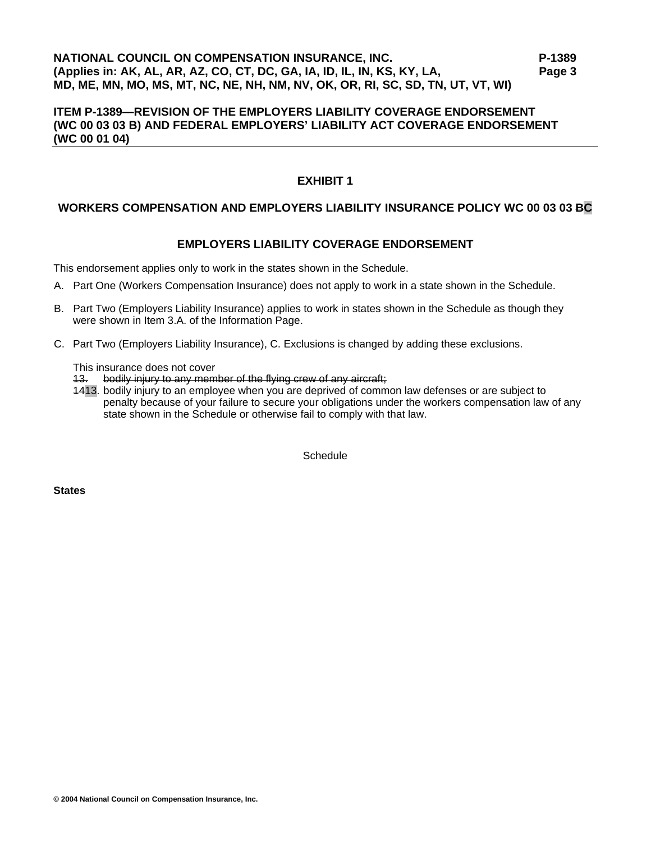# **NATIONAL COUNCIL ON COMPENSATION INSURANCE, INC. P-1389 (Applies in: AK, AL, AR, AZ, CO, CT, DC, GA, IA, ID, IL, IN, KS, KY, LA, Page 3 MD, ME, MN, MO, MS, MT, NC, NE, NH, NM, NV, OK, OR, RI, SC, SD, TN, UT, VT, WI)**

## **ITEM P-1389—REVISION OF THE EMPLOYERS LIABILITY COVERAGE ENDORSEMENT (WC 00 03 03 B) AND FEDERAL EMPLOYERS' LIABILITY ACT COVERAGE ENDORSEMENT (WC 00 01 04)**

# **EXHIBIT 1**

#### **WORKERS COMPENSATION AND EMPLOYERS LIABILITY INSURANCE POLICY WC 00 03 03 BC**

# **EMPLOYERS LIABILITY COVERAGE ENDORSEMENT**

This endorsement applies only to work in the states shown in the Schedule.

- A. Part One (Workers Compensation Insurance) does not apply to work in a state shown in the Schedule.
- B. Part Two (Employers Liability Insurance) applies to work in states shown in the Schedule as though they were shown in Item 3.A. of the Information Page.
- C. Part Two (Employers Liability Insurance), C. Exclusions is changed by adding these exclusions.

This insurance does not cover

- 13. bodily injury to any member of the flying crew of any aircraft;
- 1413. bodily injury to an employee when you are deprived of common law defenses or are subject to penalty because of your failure to secure your obligations under the workers compensation law of any state shown in the Schedule or otherwise fail to comply with that law.

**Schedule** 

**States**